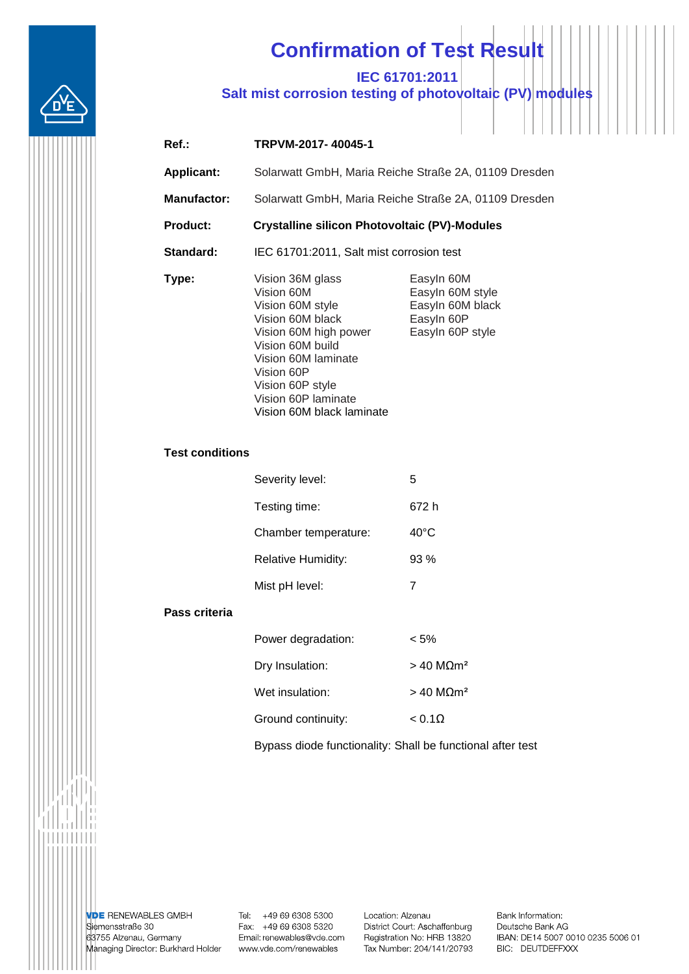

## **Confirmation of Test Result**

**IEC 61701:2011**

**Salt mist corrosion testing of photovoltaic (PV) modules**

| $Ref.$ :           | TRPVM-2017-40045-1                                                                                                                                                                                  |                                                                                      |  |
|--------------------|-----------------------------------------------------------------------------------------------------------------------------------------------------------------------------------------------------|--------------------------------------------------------------------------------------|--|
| <b>Applicant:</b>  | Solarwatt GmbH, Maria Reiche Straße 2A, 01109 Dresden                                                                                                                                               |                                                                                      |  |
| <b>Manufactor:</b> | Solarwatt GmbH, Maria Reiche Straße 2A, 01109 Dresden                                                                                                                                               |                                                                                      |  |
| <b>Product:</b>    | <b>Crystalline silicon Photovoltaic (PV)-Modules</b>                                                                                                                                                |                                                                                      |  |
| Standard:          | IEC 61701:2011, Salt mist corrosion test                                                                                                                                                            |                                                                                      |  |
| Type:              | Vision 36M glass<br>Vision 60M<br>Vision 60M style<br>Vision 60M black<br>Vision 60M high power<br>Vision 60M build<br>Vision 60M laminate<br>Vision 60P<br>Vision 60P style<br>Vision 60P laminate | Easyln 60M<br>Easyln 60M style<br>Easyln 60M black<br>Easyln 60P<br>Easyln 60P style |  |

## **Test conditions**

| Severity level:           | 5              |
|---------------------------|----------------|
| Testing time:             | 672 h          |
| Chamber temperature:      | $40^{\circ}$ C |
| <b>Relative Humidity:</b> | 93%            |
| Mist pH level:            | 7              |

Vision 60M black laminate

## **Pass criteria**

| Power degradation: | $< 5\%$                 |
|--------------------|-------------------------|
| Dry Insulation:    | $>$ 40 MQm <sup>2</sup> |
| Wet insulation:    | $>$ 40 MQm <sup>2</sup> |
| Ground continuity: | $< 0.1\Omega$           |

Bypass diode functionality: Shall be functional after test

**VDE RENEWABLES GMBH** Siemensstraße 30 63755 Alzenau, Germany Managing Director: Burkhard Holder

Tel: +49 69 6308 5300 Fax: +49 69 6308 5320 Email: renewables@vde.com www.vde.com/renewables

Location: Alzenau District Court: Aschaffenburg Registration No: HRB 13820 Tax Number: 204/141/20793 Bank Information: Deutsche Bank AG IBAN: DE14 5007 0010 0235 5006 01 BIC: DEUTDEFFXXX